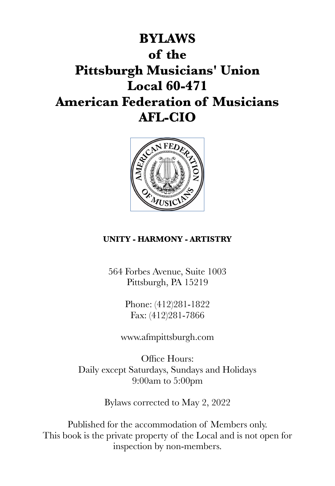



### **UNITY - HARMONY - ARTISTRY**

564 Forbes Avenue, Suite 1003 Pittsburgh, PA 15219

> Phone: (412)281-1822 Fax: (412)281-7866

www.afmpittsburgh.com

Office Hours: Daily except Saturdays, Sundays and Holidays 9:00am to 5:00pm

Bylaws corrected to May 2, 2022

Published for the accommodation of Members only. This book is the private property of the Local and is not open for inspection by non-members.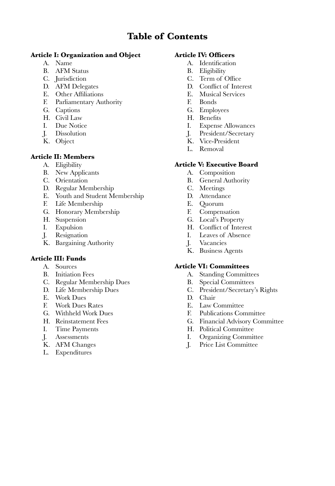### **Table of Contents**

### **Article I: Organization and Object**

- A. Name
- B. AFM Status
- C. Jurisdiction
- D. AFM Delegates
- E. Other Affiliations
- F. Parliamentary Authority
- G. Captions
- H. Civil Law
- I. Due Notice
- J. Dissolution
- K. Object

### **Article II: Members**

- A. Eligibility
- B. New Applicants
- C. Orientation
- D. Regular Membership
- E. Youth and Student Membership
- Life Membership
- G. Honorary Membership
- H. Suspension
- I. Expulsion
- J. Resignation
- K. Bargaining Authority

### **Article III: Funds**

- A. Sources
- B. Initiation Fees
- C. Regular Membership Dues
- D. Life Membership Dues
- E. Work Dues
- F. Work Dues Rates
- G. Withheld Work Dues
- H. Reinstatement Fees
- I. Time Payments
- J. Assessments
- K. AFM Changes
- L. Expenditures

#### **Article IV: Officers**

- A. Identification
- B. Eligibility
- C. Term of Office
- D. Conflict of Interest
- E. Musical Services
- F. Bonds
- G. Employees
- H. Benefits
- I. Expense Allowances
- J. President/Secretary
- K. Vice-President
- L. Removal

### **Article V: Executive Board**

- A. Composition
- B. General Authority
- C. Meetings
- D. Attendance
- E. Quorum
- F. Compensation
- G. Local's Property
- H. Conflict of Interest
- I. Leaves of Absence
- J. Vacancies
- K. Business Agents

#### **Article VI: Committees**

- A. Standing Committees
- B. Special Committees
- C. President/Secretary's Rights
- D. Chair
- E. Law Committee
- F. Publications Committee
- G. Financial Advisory Committee
- H. Political Committee
- I. Organizing Committee
- J. Price List Committee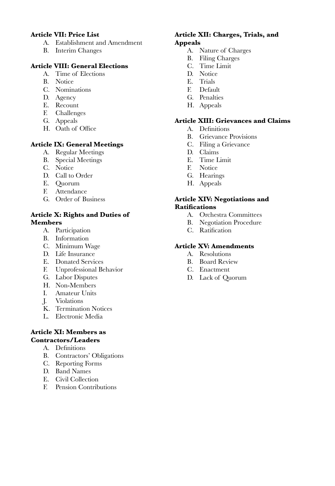#### **Article VII: Price List**

- A. Establishment and Amendment
- B. Interim Changes

### **Article VIII: General Elections**

- A. Time of Elections
- B. Notice
- C. Nominations
- D. Agency
- E. Recount
- F. Challenges
- G. Appeals
- H. Oath of Office

#### **Article IX: General Meetings**

- A. Regular Meetings
- B. Special Meetings
- C. Notice
- D. Call to Order
- E. Quorum
- F. Attendance
- G. Order of Business

### **Article X: Rights and Duties of Members**

- A. Participation
- B. Information
- C. Minimum Wage
- D. Life Insurance
- E. Donated Services
- F. Unprofessional Behavior
- G. Labor Disputes
- H. Non-Members<br>I Amateur Units
- Amateur Units
- J. Violations
- K. Termination Notices
- L. Electronic Media

#### **Article XI: Members as Contractors/Leaders**

- A. Definitions
- B. Contractors' Obligations
- C. Reporting Forms
- D. Band Names
- E. Civil Collection
- F. Pension Contributions

#### **Article XII: Charges, Trials, and Appeals**

- A. Nature of Charges
- B. Filing Charges
- C. Time Limit
- D. Notice
- E. Trials
- F. Default
- G. Penalties
- H. Appeals

#### **Article XIII: Grievances and Claims**

- A. Definitions
- B. Grievance Provisions
- C. Filing a Grievance
- D. Claims
- E. Time Limit
- F. Notice
- G. Hearings
- H. Appeals

#### **Article XIV: Negotiations and Ratifications**

- A. Orchestra Committees
- B. Negotiation Procedure
- C. Ratification

### **Article XV: Amendments**

- A. Resolutions
- B. Board Review
- C. Enactment
- D. Lack of Quorum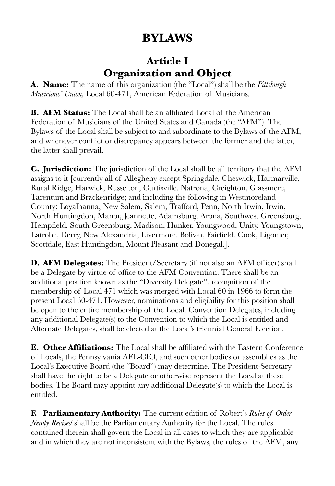# **BYLAWS**

### **Article I Organization and Object**

**A. Name:** The name of this organization (the "Local") shall be the *Pittsburgh Musicians' Union,* Local 60-471, American Federation of Musicians.

**B. AFM Status:** The Local shall be an affiliated Local of the American Federation of Musicians of the United States and Canada (the "AFM"). The Bylaws of the Local shall be subject to and subordinate to the Bylaws of the AFM, and whenever conflict or discrepancy appears between the former and the latter, the latter shall prevail.

**C. Jurisdiction:** The jurisdiction of the Local shall be all territory that the AFM assigns to it [currently all of Allegheny except Springdale, Cheswick, Harmarville, Rural Ridge, Harwick, Russelton, Curtisville, Natrona, Creighton, Glassmere, Tarentum and Brackenridge; and including the following in Westmoreland County: Loyalhanna, New Salem, Salem, Trafford, Penn, North Irwin, Irwin, North Huntingdon, Manor, Jeannette, Adamsburg, Arona, Southwest Greensburg, Hempfield, South Greensburg, Madison, Hunker, Youngwood, Unity, Youngstown, Latrobe, Derry, New Alexandria, Livermore, Bolivar, Fairfield, Cook, Ligonier, Scottdale, East Huntingdon, Mount Pleasant and Donegal.].

**D. AFM Delegates:** The President/Secretary (if not also an AFM officer) shall be a Delegate by virtue of office to the AFM Convention. There shall be an additional position known as the "Diversity Delegate", recognition of the membership of Local 471 which was merged with Local 60 in 1966 to form the present Local 60-471. However, nominations and eligibility for this position shall be open to the entire membership of the Local. Convention Delegates, including any additional Delegate(s) to the Convention to which the Local is entitled and Alternate Delegates, shall be elected at the Local's triennial General Election.

**E. Other Affiliations:** The Local shall be affiliated with the Eastern Conference of Locals, the Pennsylvania AFL-CIO, and such other bodies or assemblies as the Local's Executive Board (the "Board") may determine. The President-Secretary shall have the right to be a Delegate or otherwise represent the Local at these bodies. The Board may appoint any additional Delegate(s) to which the Local is entitled.

**F. Parliamentary Authority:** The current edition of Robert's *Rules of Order Newly Revised* shall be the Parliamentary Authority for the Local. The rules contained therein shall govern the Local in all cases to which they are applicable and in which they are not inconsistent with the Bylaws, the rules of the AFM, any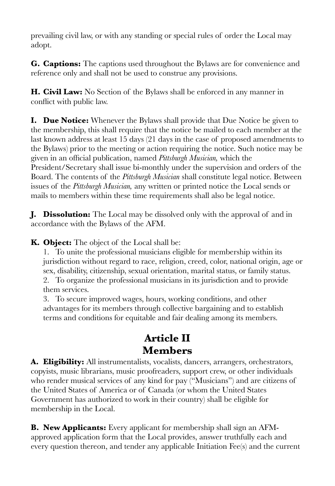prevailing civil law, or with any standing or special rules of order the Local may adopt.

**G. Captions:** The captions used throughout the Bylaws are for convenience and reference only and shall not be used to construe any provisions.

**H. Civil Law:** No Section of the Bylaws shall be enforced in any manner in conflict with public law.

**I. Due Notice:** Whenever the Bylaws shall provide that Due Notice be given to the membership, this shall require that the notice be mailed to each member at the last known address at least 15 days (21 days in the case of proposed amendments to the Bylaws) prior to the meeting or action requiring the notice. Such notice may be given in an official publication, named *Pittsburgh Musician,* which the President/Secretary shall issue bi-monthly under the supervision and orders of the Board. The contents of the *Pittsburgh Musician* shall constitute legal notice. Between issues of the *Pittsburgh Musician,* any written or printed notice the Local sends or mails to members within these time requirements shall also be legal notice.

**J. Dissolution:** The Local may be dissolved only with the approval of and in accordance with the Bylaws of the AFM.

**K. Object:** The object of the Local shall be:

1. To unite the professional musicians eligible for membership within its jurisdiction without regard to race, religion, creed, color, national origin, age or sex, disability, citizenship, sexual orientation, marital status, or family status. 2. To organize the professional musicians in its jurisdiction and to provide them services.

3. To secure improved wages, hours, working conditions, and other advantages for its members through collective bargaining and to establish terms and conditions for equitable and fair dealing among its members.

### **Article II Members**

**A. Eligibility:** All instrumentalists, vocalists, dancers, arrangers, orchestrators, copyists, music librarians, music proofreaders, support crew, or other individuals who render musical services of any kind for pay ("Musicians") and are citizens of the United States of America or of Canada (or whom the United States Government has authorized to work in their country) shall be eligible for membership in the Local.

**B. New Applicants:** Every applicant for membership shall sign an AFMapproved application form that the Local provides, answer truthfully each and every question thereon, and tender any applicable Initiation Fee(s) and the current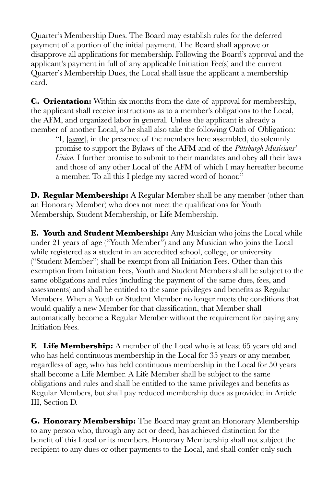Quarter's Membership Dues. The Board may establish rules for the deferred payment of a portion of the initial payment. The Board shall approve or disapprove all applications for membership. Following the Board's approval and the applicant's payment in full of any applicable Initiation Fee(s) and the current Quarter's Membership Dues, the Local shall issue the applicant a membership card.

**C. Orientation:** Within six months from the date of approval for membership, the applicant shall receive instructions as to a member's obligations to the Local, the AFM, and organized labor in general. Unless the applicant is already a member of another Local, s/he shall also take the following Oath of Obligation:

"I, [*name*], in the presence of the members here assembled, do solemnly promise to support the Bylaws of the AFM and of the *Pittsburgh Musicians' Union.* I further promise to submit to their mandates and obey all their laws and those of any other Local of the AFM of which I may hereafter become a member. To all this I pledge my sacred word of honor."

**D. Regular Membership:** A Regular Member shall be any member (other than an Honorary Member) who does not meet the qualifications for Youth Membership, Student Membership, or Life Membership.

**E. Youth and Student Membership:** Any Musician who joins the Local while under 21 years of age ("Youth Member") and any Musician who joins the Local while registered as a student in an accredited school, college, or university ("Student Member") shall be exempt from all Initiation Fees. Other than this exemption from Initiation Fees, Youth and Student Members shall be subject to the same obligations and rules (including the payment of the same dues, fees, and assessments) and shall be entitled to the same privileges and benefits as Regular Members. When a Youth or Student Member no longer meets the conditions that would qualify a new Member for that classification, that Member shall automatically become a Regular Member without the requirement for paying any Initiation Fees.

**F. Life Membership:** A member of the Local who is at least 65 years old and who has held continuous membership in the Local for 35 years or any member, regardless of age, who has held continuous membership in the Local for 50 years shall become a Life Member. A Life Member shall be subject to the same obligations and rules and shall be entitled to the same privileges and benefits as Regular Members, but shall pay reduced membership dues as provided in Article III, Section D.

**G. Honorary Membership:** The Board may grant an Honorary Membership to any person who, through any act or deed, has achieved distinction for the benefit of this Local or its members. Honorary Membership shall not subject the recipient to any dues or other payments to the Local, and shall confer only such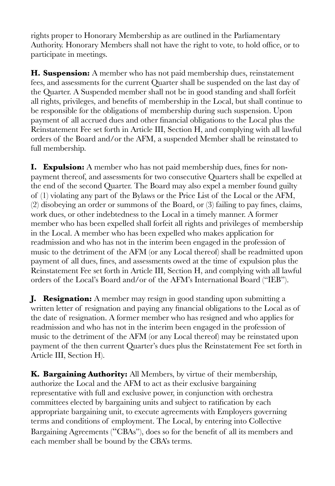rights proper to Honorary Membership as are outlined in the Parliamentary Authority. Honorary Members shall not have the right to vote, to hold office, or to participate in meetings.

**H. Suspension:** A member who has not paid membership dues, reinstatement fees, and assessments for the current Quarter shall be suspended on the last day of the Quarter. A Suspended member shall not be in good standing and shall forfeit all rights, privileges, and benefits of membership in the Local, but shall continue to be responsible for the obligations of membership during such suspension. Upon payment of all accrued dues and other financial obligations to the Local plus the Reinstatement Fee set forth in Article III, Section H, and complying with all lawful orders of the Board and/or the AFM, a suspended Member shall be reinstated to full membership.

**I. Expulsion:** A member who has not paid membership dues, fines for nonpayment thereof, and assessments for two consecutive Quarters shall be expelled at the end of the second Quarter. The Board may also expel a member found guilty of (1) violating any part of the Bylaws or the Price List of the Local or the AFM, (2) disobeying an order or summons of the Board, or (3) failing to pay fines, claims, work dues, or other indebtedness to the Local in a timely manner. A former member who has been expelled shall forfeit all rights and privileges of membership in the Local. A member who has been expelled who makes application for readmission and who has not in the interim been engaged in the profession of music to the detriment of the AFM (or any Local thereof) shall be readmitted upon payment of all dues, fines, and assessments owed at the time of expulsion plus the Reinstatement Fee set forth in Article III, Section H, and complying with all lawful orders of the Local's Board and/or of the AFM's International Board ("IEB").

**J. Resignation:** A member may resign in good standing upon submitting a written letter of resignation and paying any financial obligations to the Local as of the date of resignation. A former member who has resigned and who applies for readmission and who has not in the interim been engaged in the profession of music to the detriment of the AFM (or any Local thereof) may be reinstated upon payment of the then current Quarter's dues plus the Reinstatement Fee set forth in Article III, Section H).

**K. Bargaining Authority:** All Members, by virtue of their membership, authorize the Local and the AFM to act as their exclusive bargaining representative with full and exclusive power, in conjunction with orchestra committees elected by bargaining units and subject to ratification by each appropriate bargaining unit, to execute agreements with Employers governing terms and conditions of employment. The Local, by entering into Collective Bargaining Agreements ("CBAs"), does so for the benefit of all its members and each member shall be bound by the CBA's terms.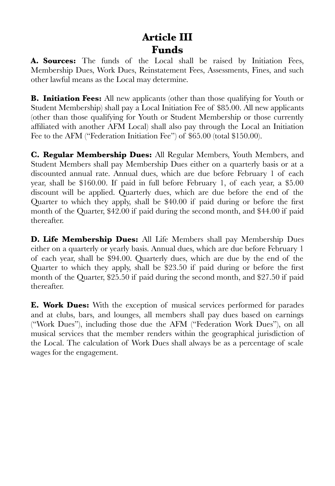## **Article III Funds**

**A. Sources:** The funds of the Local shall be raised by Initiation Fees, Membership Dues, Work Dues, Reinstatement Fees, Assessments, Fines, and such other lawful means as the Local may determine.

**B. Initiation Fees:** All new applicants (other than those qualifying for Youth or Student Membership) shall pay a Local Initiation Fee of \$85.00. All new applicants (other than those qualifying for Youth or Student Membership or those currently affiliated with another AFM Local) shall also pay through the Local an Initiation Fee to the AFM ("Federation Initiation Fee") of \$65.00 (total \$150.00).

**C. Regular Membership Dues:** All Regular Members, Youth Members, and Student Members shall pay Membership Dues either on a quarterly basis or at a discounted annual rate. Annual dues, which are due before February 1 of each year, shall be \$160.00. If paid in full before February 1, of each year, a \$5.00 discount will be applied. Quarterly dues, which are due before the end of the Quarter to which they apply, shall be \$40.00 if paid during or before the first month of the Quarter, \$42.00 if paid during the second month, and \$44.00 if paid thereafter.

**D. Life Membership Dues:** All Life Members shall pay Membership Dues either on a quarterly or yearly basis. Annual dues, which are due before February 1 of each year, shall be \$94.00. Quarterly dues, which are due by the end of the Quarter to which they apply, shall be \$23.50 if paid during or before the first month of the Quarter, \$25.50 if paid during the second month, and \$27.50 if paid thereafter.

**E. Work Dues:** With the exception of musical services performed for parades and at clubs, bars, and lounges, all members shall pay dues based on earnings ("Work Dues"), including those due the AFM ("Federation Work Dues"), on all musical services that the member renders within the geographical jurisdiction of the Local. The calculation of Work Dues shall always be as a percentage of scale wages for the engagement.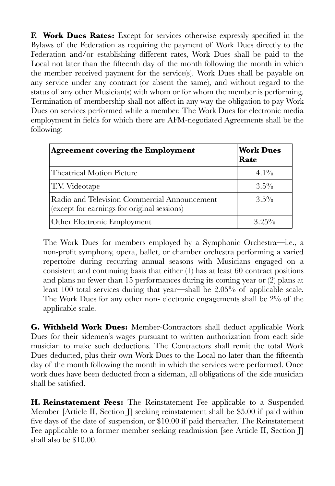**F. Work Dues Rates:** Except for services otherwise expressly specified in the Bylaws of the Federation as requiring the payment of Work Dues directly to the Federation and/or establishing different rates, Work Dues shall be paid to the Local not later than the fifteenth day of the month following the month in which the member received payment for the service(s). Work Dues shall be payable on any service under any contract (or absent the same), and without regard to the status of any other Musician(s) with whom or for whom the member is performing. Termination of membership shall not affect in any way the obligation to pay Work Dues on services performed while a member. The Work Dues for electronic media employment in fields for which there are AFM-negotiated Agreements shall be the following:

| <b>Agreement covering the Employment</b>                                                    | <b>Work Dues</b><br>Rate |
|---------------------------------------------------------------------------------------------|--------------------------|
| <b>Theatrical Motion Picture</b>                                                            | $4.1\%$                  |
| T.V. Videotape                                                                              | $3.5\%$                  |
| Radio and Television Commercial Announcement<br>(except for earnings for original sessions) | $3.5\%$                  |
| Other Electronic Employment                                                                 | $3.25\%$                 |

The Work Dues for members employed by a Symphonic Orchestra—i.e., a non-profit symphony, opera, ballet, or chamber orchestra performing a varied repertoire during recurring annual seasons with Musicians engaged on a consistent and continuing basis that either (1) has at least 60 contract positions and plans no fewer than 15 performances during its coming year or (2) plans at least 100 total services during that year—shall be 2.05% of applicable scale. The Work Dues for any other non- electronic engagements shall be 2% of the applicable scale.

**G. Withheld Work Dues:** Member-Contractors shall deduct applicable Work Dues for their sidemen's wages pursuant to written authorization from each side musician to make such deductions. The Contractors shall remit the total Work Dues deducted, plus their own Work Dues to the Local no later than the fifteenth day of the month following the month in which the services were performed. Once work dues have been deducted from a sideman, all obligations of the side musician shall be satisfied.

**H. Reinstatement Fees:** The Reinstatement Fee applicable to a Suspended Member [Article II, Section ]] seeking reinstatement shall be \$5.00 if paid within five days of the date of suspension, or \$10.00 if paid thereafter. The Reinstatement Fee applicable to a former member seeking readmission [see Article II, Section J] shall also be \$10.00.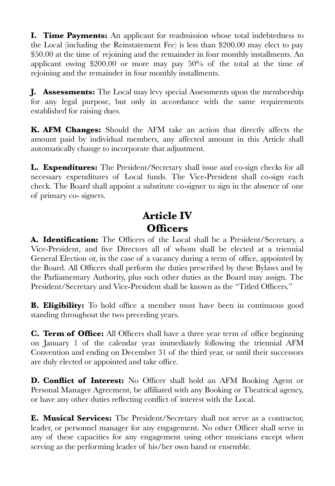**I. Time Payments:** An applicant for readmission whose total indebtedness to the Local (including the Reinstatement Fee) is less than \$200.00 may elect to pay \$50.00 at the time of rejoining and the remainder in four monthly installments. An applicant owing \$200.00 or more may pay 50% of the total at the time of rejoining and the remainder in four monthly installments.

**J. Assessments:** The Local may levy special Assessments upon the membership for any legal purpose, but only in accordance with the same requirements established for raising dues.

**K. AFM Changes:** Should the AFM take an action that directly affects the amount paid by individual members, any affected amount in this Article shall automatically change to incorporate that adjustment.

**L. Expenditures:** The President/Secretary shall issue and co-sign checks for all necessary expenditures of Local funds. The Vice-President shall co-sign each check. The Board shall appoint a substitute co-signer to sign in the absence of one of primary co- signers.

## **Article IV Officers**

**A. Identification:** The Officers of the Local shall be a President/Secretary, a Vice-President, and five Directors all of whom shall be elected at a triennial General Election or, in the case of a vacancy during a term of office, appointed by the Board. All Officers shall perform the duties prescribed by these Bylaws and by the Parliamentary Authority, plus such other duties as the Board may assign. The President/Secretary and Vice-President shall be known as the "Titled Officers."

**B. Eligibility:** To hold office a member must have been in continuous good standing throughout the two preceding years.

**C. Term of Office:** All Officers shall have a three year term of office beginning on January 1 of the calendar year immediately following the triennial AFM Convention and ending on December 31 of the third year, or until their successors are duly elected or appointed and take office.

**D. Conflict of Interest:** No Officer shall hold an AFM Booking Agent or Personal Manager Agreement, be affiliated with any Booking or Theatrical agency, or have any other duties reflecting conflict of interest with the Local.

**E. Musical Services:** The President/Secretary shall not serve as a contractor, leader, or personnel manager for any engagement. No other Officer shall serve in any of these capacities for any engagement using other musicians except when serving as the performing leader of his/her own band or ensemble.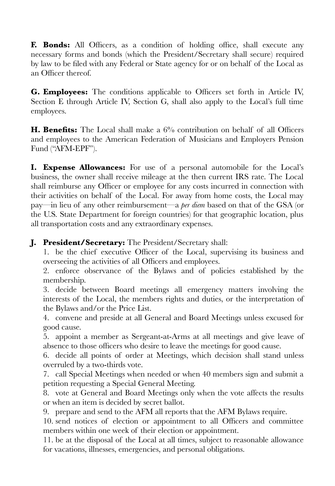**F. Bonds:** All Officers, as a condition of holding office, shall execute any necessary forms and bonds (which the President/Secretary shall secure) required by law to be filed with any Federal or State agency for or on behalf of the Local as an Officer thereof.

**G. Employees:** The conditions applicable to Officers set forth in Article IV, Section E through Article IV, Section G, shall also apply to the Local's full time employees.

**H. Benefits:** The Local shall make a 6% contribution on behalf of all Officers and employees to the American Federation of Musicians and Employers Pension Fund ("AFM-EPF").

**I. Expense Allowances:** For use of a personal automobile for the Local's business, the owner shall receive mileage at the then current IRS rate. The Local shall reimburse any Officer or employee for any costs incurred in connection with their activities on behalf of the Local. For away from home costs, the Local may pay—in lieu of any other reimbursement—a *per diem* based on that of the GSA (or the U.S. State Department for foreign countries) for that geographic location, plus all transportation costs and any extraordinary expenses.

**J. President/Secretary:** The President/Secretary shall:

1. be the chief executive Officer of the Local, supervising its business and overseeing the activities of all Officers and employees.

2. enforce observance of the Bylaws and of policies established by the membership.

3. decide between Board meetings all emergency matters involving the interests of the Local, the members rights and duties, or the interpretation of the Bylaws and/or the Price List.

4. convene and preside at all General and Board Meetings unless excused for good cause.

5. appoint a member as Sergeant-at-Arms at all meetings and give leave of absence to those officers who desire to leave the meetings for good cause.

6. decide all points of order at Meetings, which decision shall stand unless overruled by a two-thirds vote.

7. call Special Meetings when needed or when 40 members sign and submit a petition requesting a Special General Meeting.

8. vote at General and Board Meetings only when the vote affects the results or when an item is decided by secret ballot.

9. prepare and send to the AFM all reports that the AFM Bylaws require.

10. send notices of election or appointment to all Officers and committee members within one week of their election or appointment.

11. be at the disposal of the Local at all times, subject to reasonable allowance for vacations, illnesses, emergencies, and personal obligations.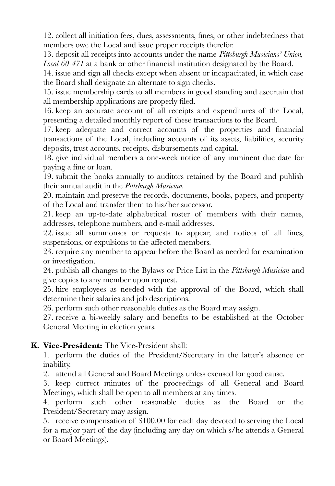12. collect all initiation fees, dues, assessments, fines, or other indebtedness that members owe the Local and issue proper receipts therefor.

13. deposit all receipts into accounts under the name *Pittsburgh Musicians' Union, Local 60-471* at a bank or other financial institution designated by the Board.

14. issue and sign all checks except when absent or incapacitated, in which case the Board shall designate an alternate to sign checks.

15. issue membership cards to all members in good standing and ascertain that all membership applications are properly filed.

16. keep an accurate account of all receipts and expenditures of the Local, presenting a detailed monthly report of these transactions to the Board.

17. keep adequate and correct accounts of the properties and financial transactions of the Local, including accounts of its assets, liabilities, security deposits, trust accounts, receipts, disbursements and capital.

18. give individual members a one-week notice of any imminent due date for paying a fine or loan.

19. submit the books annually to auditors retained by the Board and publish their annual audit in the *Pittsburgh Musician.*

20. maintain and preserve the records, documents, books, papers, and property of the Local and transfer them to his/her successor.

21. keep an up-to-date alphabetical roster of members with their names, addresses, telephone numbers, and e-mail addresses.

22. issue all summonses or requests to appear, and notices of all fines, suspensions, or expulsions to the affected members.

23. require any member to appear before the Board as needed for examination or investigation.

24. publish all changes to the Bylaws or Price List in the *Pittsburgh Musician* and give copies to any member upon request.

25. hire employees as needed with the approval of the Board, which shall determine their salaries and job descriptions.

26. perform such other reasonable duties as the Board may assign.

27. receive a bi-weekly salary and benefits to be established at the October General Meeting in election years.

### **K. Vice-President:** The Vice-President shall:

1. perform the duties of the President/Secretary in the latter's absence or inability.

2. attend all General and Board Meetings unless excused for good cause.

3. keep correct minutes of the proceedings of all General and Board Meetings, which shall be open to all members at any times.

4. perform such other reasonable duties as the Board or the President/Secretary may assign.

5. receive compensation of \$100.00 for each day devoted to serving the Local for a major part of the day (including any day on which s/he attends a General or Board Meetings).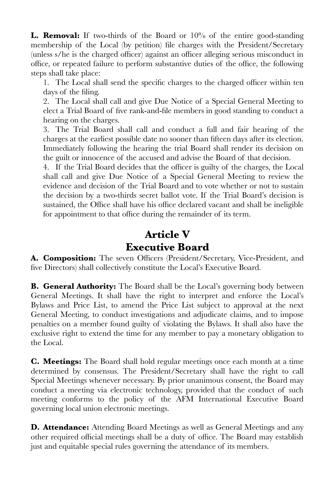**L. Removal:** If two-thirds of the Board or 10% of the entire good-standing membership of the Local (by petition) file charges with the President/Secretary (unless s/he is the charged officer) against an officer alleging serious misconduct in office, or repeated failure to perform substantive duties of the office, the following steps shall take place:

1. The Local shall send the specific charges to the charged officer within ten days of the filing.

2. The Local shall call and give Due Notice of a Special General Meeting to elect a Trial Board of five rank-and-file members in good standing to conduct a hearing on the charges.

3. The Trial Board shall call and conduct a full and fair hearing of the charges at the earliest possible date no sooner than fifteen days after its election. Immediately following the hearing the trial Board shall render its decision on the guilt or innocence of the accused and advise the Board of that decision.

4. If the Trial Board decides that the officer is guilty of the charges, the Local shall call and give Due Notice of a Special General Meeting to review the evidence and decision of the Trial Board and to vote whether or not to sustain the decision by a two-thirds secret ballot vote. If the Trial Board's decision is sustained, the Office shall have his office declared vacant and shall be ineligible for appointment to that office during the remainder of its term.

### **Article V Executive Board**

**A. Composition:** The seven Officers (President/Secretary, Vice-President, and five Directors) shall collectively constitute the Local's Executive Board.

**B. General Authority:** The Board shall be the Local's governing body between General Meetings. It shall have the right to interpret and enforce the Local's Bylaws and Price List, to amend the Price List subject to approval at the next General Meeting, to conduct investigations and adjudicate claims, and to impose penalties on a member found guilty of violating the Bylaws. It shall also have the exclusive right to extend the time for any member to pay a monetary obligation to the Local.

**C. Meetings:** The Board shall hold regular meetings once each month at a time determined by consensus. The President/Secretary shall have the right to call Special Meetings whenever necessary. By prior unanimous consent, the Board may conduct a meeting via electronic technology, provided that the conduct of such meeting conforms to the policy of the AFM International Executive Board governing local union electronic meetings.

**D. Attendance:** Attending Board Meetings as well as General Meetings and any other required official meetings shall be a duty of office. The Board may establish just and equitable special rules governing the attendance of its members.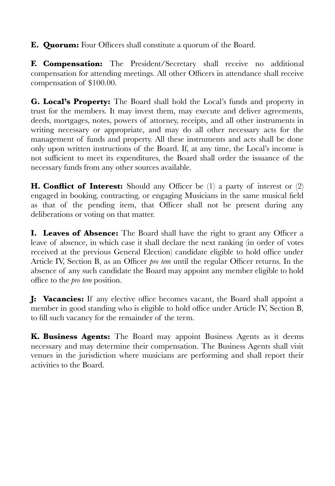**E. Quorum:** Four Officers shall constitute a quorum of the Board.

**F. Compensation:** The President/Secretary shall receive no additional compensation for attending meetings. All other Officers in attendance shall receive compensation of \$100.00.

**G. Local's Property:** The Board shall hold the Local's funds and property in trust for the members. It may invest them, may execute and deliver agreements, deeds, mortgages, notes, powers of attorney, receipts, and all other instruments in writing necessary or appropriate, and may do all other necessary acts for the management of funds and property. All these instruments and acts shall be done only upon written instructions of the Board. If, at any time, the Local's income is not sufficient to meet its expenditures, the Board shall order the issuance of the necessary funds from any other sources available.

**H. Conflict of Interest:** Should any Officer be (1) a party of interest or (2) engaged in booking, contracting, or engaging Musicians in the same musical field as that of the pending item, that Officer shall not be present during any deliberations or voting on that matter.

**I. Leaves of Absence:** The Board shall have the right to grant any Officer a leave of absence, in which case it shall declare the next ranking (in order of votes received at the previous General Election) candidate eligible to hold office under Article IV, Section B, as an Officer *pro tem* until the regular Officer returns. In the absence of any such candidate the Board may appoint any member eligible to hold office to the *pro tem* position.

**J: Vacancies:** If any elective office becomes vacant, the Board shall appoint a member in good standing who is eligible to hold office under Article IV, Section B, to fill such vacancy for the remainder of the term.

**K. Business Agents:** The Board may appoint Business Agents as it deems necessary and may determine their compensation. The Business Agents shall visit venues in the jurisdiction where musicians are performing and shall report their activities to the Board.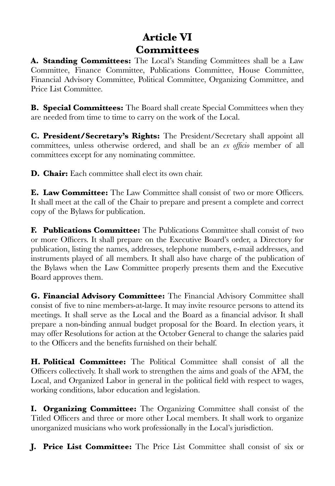# **Article VI Committees**

**A. Standing Committees:** The Local's Standing Committees shall be a Law Committee, Finance Committee, Publications Committee, House Committee, Financial Advisory Committee, Political Committee, Organizing Committee, and Price List Committee.

**B. Special Committees:** The Board shall create Special Committees when they are needed from time to time to carry on the work of the Local.

**C. President/Secretary's Rights:** The President/Secretary shall appoint all committees, unless otherwise ordered, and shall be an *ex officio* member of all committees except for any nominating committee.

**D. Chair:** Each committee shall elect its own chair.

**E. Law Committee:** The Law Committee shall consist of two or more Officers. It shall meet at the call of the Chair to prepare and present a complete and correct copy of the Bylaws for publication.

**F. Publications Committee:** The Publications Committee shall consist of two or more Officers. It shall prepare on the Executive Board's order, a Directory for publication, listing the names, addresses, telephone numbers, e-mail addresses, and instruments played of all members. It shall also have charge of the publication of the Bylaws when the Law Committee properly presents them and the Executive Board approves them.

**G. Financial Advisory Committee:** The Financial Advisory Committee shall consist of five to nine members-at-large. It may invite resource persons to attend its meetings. It shall serve as the Local and the Board as a financial advisor. It shall prepare a non-binding annual budget proposal for the Board. In election years, it may offer Resolutions for action at the October General to change the salaries paid to the Officers and the benefits furnished on their behalf.

**H. Political Committee:** The Political Committee shall consist of all the Officers collectively. It shall work to strengthen the aims and goals of the AFM, the Local, and Organized Labor in general in the political field with respect to wages, working conditions, labor education and legislation.

**I. Organizing Committee:** The Organizing Committee shall consist of the Titled Officers and three or more other Local members. It shall work to organize unorganized musicians who work professionally in the Local's jurisdiction.

**J. Price List Committee:** The Price List Committee shall consist of six or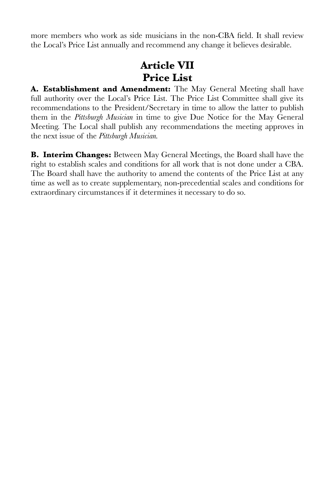more members who work as side musicians in the non-CBA field. It shall review the Local's Price List annually and recommend any change it believes desirable.

# **Article VII Price List**

**A. Establishment and Amendment:** The May General Meeting shall have full authority over the Local's Price List. The Price List Committee shall give its recommendations to the President/Secretary in time to allow the latter to publish them in the *Pittsburgh Musician* in time to give Due Notice for the May General Meeting. The Local shall publish any recommendations the meeting approves in the next issue of the *Pittsburgh Musician.*

**B. Interim Changes:** Between May General Meetings, the Board shall have the right to establish scales and conditions for all work that is not done under a CBA. The Board shall have the authority to amend the contents of the Price List at any time as well as to create supplementary, non-precedential scales and conditions for extraordinary circumstances if it determines it necessary to do so.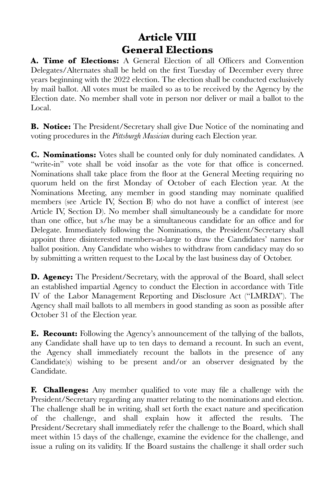# **Article VIII General Elections**

**A. Time of Elections:** A General Election of all Officers and Convention Delegates/Alternates shall be held on the first Tuesday of December every three years beginning with the 2022 election. The election shall be conducted exclusively by mail ballot. All votes must be mailed so as to be received by the Agency by the Election date. No member shall vote in person nor deliver or mail a ballot to the Local.

**B. Notice:** The President/Secretary shall give Due Notice of the nominating and voting procedures in the *Pittsburgh Musician* during each Election year.

**C. Nominations:** Votes shall be counted only for duly nominated candidates. A "write-in" vote shall be void insofar as the vote for that office is concerned. Nominations shall take place from the floor at the General Meeting requiring no quorum held on the first Monday of October of each Election year. At the Nominations Meeting, any member in good standing may nominate qualified members (see Article IV, Section B) who do not have a conflict of interest (see Article IV, Section D). No member shall simultaneously be a candidate for more than one office, but s/he may be a simultaneous candidate for an office and for Delegate. Immediately following the Nominations, the President/Secretary shall appoint three disinterested members-at-large to draw the Candidates' names for ballot position. Any Candidate who wishes to withdraw from candidacy may do so by submitting a written request to the Local by the last business day of October.

**D. Agency:** The President/Secretary, with the approval of the Board, shall select an established impartial Agency to conduct the Election in accordance with Title IV of the Labor Management Reporting and Disclosure Act ("LMRDA"). The Agency shall mail ballots to all members in good standing as soon as possible after October 31 of the Election year.

**E. Recount:** Following the Agency's announcement of the tallying of the ballots, any Candidate shall have up to ten days to demand a recount. In such an event, the Agency shall immediately recount the ballots in the presence of any Candidate(s) wishing to be present and/or an observer designated by the Candidate.

**F. Challenges:** Any member qualified to vote may file a challenge with the President/Secretary regarding any matter relating to the nominations and election. The challenge shall be in writing, shall set forth the exact nature and specification of the challenge, and shall explain how it affected the results. The President/Secretary shall immediately refer the challenge to the Board, which shall meet within 15 days of the challenge, examine the evidence for the challenge, and issue a ruling on its validity. If the Board sustains the challenge it shall order such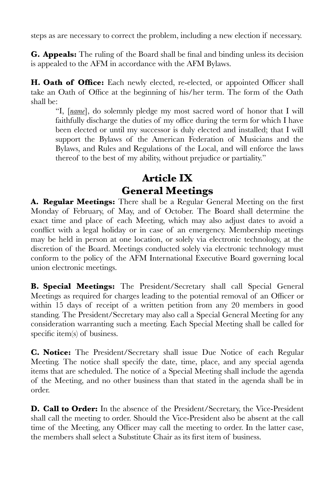steps as are necessary to correct the problem, including a new election if necessary.

**G. Appeals:** The ruling of the Board shall be final and binding unless its decision is appealed to the AFM in accordance with the AFM Bylaws.

**H. Oath of Office:** Each newly elected, re-elected, or appointed Officer shall take an Oath of Office at the beginning of his/her term. The form of the Oath shall be:

"I, [*name*], do solemnly pledge my most sacred word of honor that I will faithfully discharge the duties of my office during the term for which I have been elected or until my successor is duly elected and installed; that I will support the Bylaws of the American Federation of Musicians and the Bylaws, and Rules and Regulations of the Local, and will enforce the laws thereof to the best of my ability, without prejudice or partiality."

### **Article IX General Meetings**

**A. Regular Meetings:** There shall be a Regular General Meeting on the first Monday of February, of May, and of October. The Board shall determine the exact time and place of each Meeting, which may also adjust dates to avoid a conflict with a legal holiday or in case of an emergency. Membership meetings may be held in person at one location, or solely via electronic technology, at the discretion of the Board. Meetings conducted solely via electronic technology must conform to the policy of the AFM International Executive Board governing local union electronic meetings.

**B. Special Meetings:** The President/Secretary shall call Special General Meetings as required for charges leading to the potential removal of an Officer or within 15 days of receipt of a written petition from any 20 members in good standing. The President/Secretary may also call a Special General Meeting for any consideration warranting such a meeting. Each Special Meeting shall be called for specific item(s) of business.

**C. Notice:** The President/Secretary shall issue Due Notice of each Regular Meeting. The notice shall specify the date, time, place, and any special agenda items that are scheduled. The notice of a Special Meeting shall include the agenda of the Meeting, and no other business than that stated in the agenda shall be in order.

**D. Call to Order:** In the absence of the President/Secretary, the Vice-President shall call the meeting to order. Should the Vice-President also be absent at the call time of the Meeting, any Officer may call the meeting to order. In the latter case, the members shall select a Substitute Chair as its first item of business.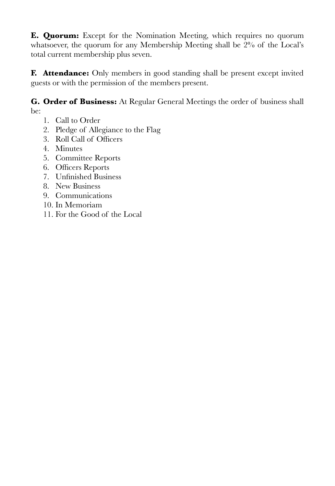**E. Quorum:** Except for the Nomination Meeting, which requires no quorum whatsoever, the quorum for any Membership Meeting shall be 2% of the Local's total current membership plus seven.

**F. Attendance:** Only members in good standing shall be present except invited guests or with the permission of the members present.

**G. Order of Business:** At Regular General Meetings the order of business shall be:

- 1. Call to Order
- 2. Pledge of Allegiance to the Flag
- 3. Roll Call of Officers
- 4. Minutes
- 5. Committee Reports
- 6. Officers Reports
- 7. Unfinished Business
- 8. New Business
- 9. Communications
- 10. In Memoriam
- 11. For the Good of the Local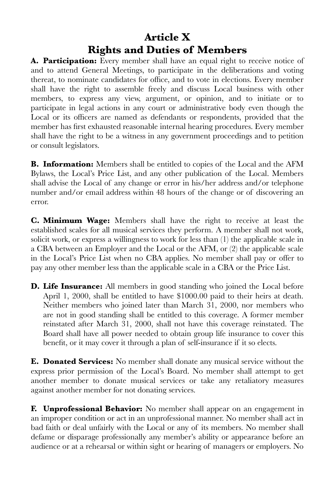# **Article X Rights and Duties of Members**

**A. Participation:** Every member shall have an equal right to receive notice of and to attend General Meetings, to participate in the deliberations and voting thereat, to nominate candidates for office, and to vote in elections. Every member shall have the right to assemble freely and discuss Local business with other members, to express any view, argument, or opinion, and to initiate or to participate in legal actions in any court or administrative body even though the Local or its officers are named as defendants or respondents, provided that the member has first exhausted reasonable internal hearing procedures. Every member shall have the right to be a witness in any government proceedings and to petition or consult legislators.

**B. Information:** Members shall be entitled to copies of the Local and the AFM Bylaws, the Local's Price List, and any other publication of the Local. Members shall advise the Local of any change or error in his/her address and/or telephone number and/or email address within 48 hours of the change or of discovering an error.

**C. Minimum Wage:** Members shall have the right to receive at least the established scales for all musical services they perform. A member shall not work, solicit work, or express a willingness to work for less than (1) the applicable scale in a CBA between an Employer and the Local or the AFM, or (2) the applicable scale in the Local's Price List when no CBA applies. No member shall pay or offer to pay any other member less than the applicable scale in a CBA or the Price List.

**D. Life Insurance:** All members in good standing who joined the Local before April 1, 2000, shall be entitled to have \$1000.00 paid to their heirs at death. Neither members who joined later than March 31, 2000, nor members who are not in good standing shall be entitled to this coverage. A former member reinstated after March 31, 2000, shall not have this coverage reinstated. The Board shall have all power needed to obtain group life insurance to cover this benefit, or it may cover it through a plan of self-insurance if it so elects.

**E. Donated Services:** No member shall donate any musical service without the express prior permission of the Local's Board. No member shall attempt to get another member to donate musical services or take any retaliatory measures against another member for not donating services.

**F. Unprofessional Behavior:** No member shall appear on an engagement in an improper condition or act in an unprofessional manner. No member shall act in bad faith or deal unfairly with the Local or any of its members. No member shall defame or disparage professionally any member's ability or appearance before an audience or at a rehearsal or within sight or hearing of managers or employers. No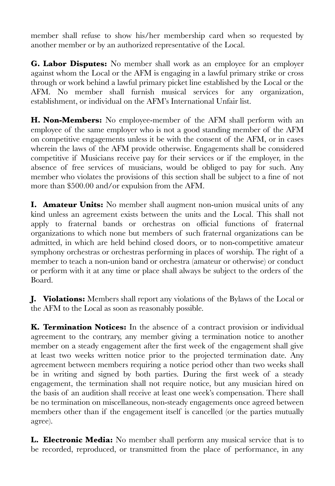member shall refuse to show his/her membership card when so requested by another member or by an authorized representative of the Local.

**G. Labor Disputes:** No member shall work as an employee for an employer against whom the Local or the AFM is engaging in a lawful primary strike or cross through or work behind a lawful primary picket line established by the Local or the AFM. No member shall furnish musical services for any organization, establishment, or individual on the AFM's International Unfair list.

**H. Non-Members:** No employee-member of the AFM shall perform with an employee of the same employer who is not a good standing member of the AFM on competitive engagements unless it be with the consent of the AFM, or in cases wherein the laws of the AFM provide otherwise. Engagements shall be considered competitive if Musicians receive pay for their services or if the employer, in the absence of free services of musicians, would be obliged to pay for such. Any member who violates the provisions of this section shall be subject to a fine of not more than \$500.00 and/or expulsion from the AFM.

**I. Amateur Units:** No member shall augment non-union musical units of any kind unless an agreement exists between the units and the Local. This shall not apply to fraternal bands or orchestras on official functions of fraternal organizations to which none but members of such fraternal organizations can be admitted, in which are held behind closed doors, or to non-competitive amateur symphony orchestras or orchestras performing in places of worship. The right of a member to teach a non-union band or orchestra (amateur or otherwise) or conduct or perform with it at any time or place shall always be subject to the orders of the Board.

**J. Violations:** Members shall report any violations of the Bylaws of the Local or the AFM to the Local as soon as reasonably possible.

**K. Termination Notices:** In the absence of a contract provision or individual agreement to the contrary, any member giving a termination notice to another member on a steady engagement after the first week of the engagement shall give at least two weeks written notice prior to the projected termination date. Any agreement between members requiring a notice period other than two weeks shall be in writing and signed by both parties. During the first week of a steady engagement, the termination shall not require notice, but any musician hired on the basis of an audition shall receive at least one week's compensation. There shall be no termination on miscellaneous, non-steady engagements once agreed between members other than if the engagement itself is cancelled (or the parties mutually agree).

**L. Electronic Media:** No member shall perform any musical service that is to be recorded, reproduced, or transmitted from the place of performance, in any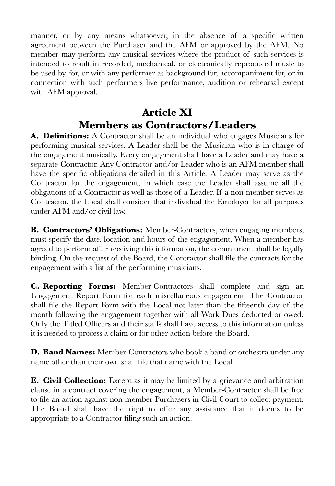manner, or by any means whatsoever, in the absence of a specific written agreement between the Purchaser and the AFM or approved by the AFM. No member may perform any musical services where the product of such services is intended to result in recorded, mechanical, or electronically reproduced music to be used by, for, or with any performer as background for, accompaniment for, or in connection with such performers live performance, audition or rehearsal except with AFM approval.

### **Article XI Members as Contractors/Leaders**

**A. Definitions:** A Contractor shall be an individual who engages Musicians for performing musical services. A Leader shall be the Musician who is in charge of the engagement musically. Every engagement shall have a Leader and may have a separate Contractor. Any Contractor and/or Leader who is an AFM member shall have the specific obligations detailed in this Article. A Leader may serve as the Contractor for the engagement, in which case the Leader shall assume all the obligations of a Contractor as well as those of a Leader. If a non-member serves as Contractor, the Local shall consider that individual the Employer for all purposes under AFM and/or civil law.

**B. Contractors' Obligations:** Member-Contractors, when engaging members, must specify the date, location and hours of the engagement. When a member has agreed to perform after receiving this information, the commitment shall be legally binding. On the request of the Board, the Contractor shall file the contracts for the engagement with a list of the performing musicians.

**C. Reporting Forms:** Member-Contractors shall complete and sign an Engagement Report Form for each miscellaneous engagement. The Contractor shall file the Report Form with the Local not later than the fifteenth day of the month following the engagement together with all Work Dues deducted or owed. Only the Titled Officers and their staffs shall have access to this information unless it is needed to process a claim or for other action before the Board.

**D. Band Names:** Member-Contractors who book a band or orchestra under any name other than their own shall file that name with the Local.

**E. Civil Collection:** Except as it may be limited by a grievance and arbitration clause in a contract covering the engagement, a Member-Contractor shall be free to file an action against non-member Purchasers in Civil Court to collect payment. The Board shall have the right to offer any assistance that it deems to be appropriate to a Contractor filing such an action.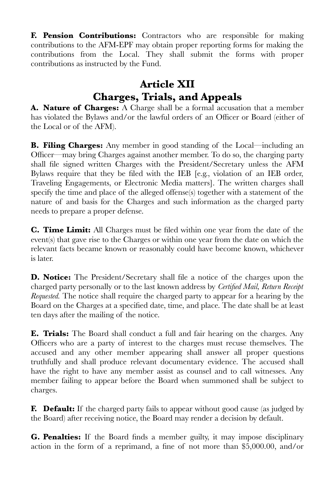**F. Pension Contributions:** Contractors who are responsible for making contributions to the AFM-EPF may obtain proper reporting forms for making the contributions from the Local. They shall submit the forms with proper contributions as instructed by the Fund.

# **Article XII Charges, Trials, and Appeals**

**A. Nature of Charges:** A Charge shall be a formal accusation that a member has violated the Bylaws and/or the lawful orders of an Officer or Board (either of the Local or of the AFM).

**B. Filing Charges:** Any member in good standing of the Local—including an Officer—may bring Charges against another member. To do so, the charging party shall file signed written Charges with the President/Secretary unless the AFM Bylaws require that they be filed with the IEB [e.g., violation of an IEB order, Traveling Engagements, or Electronic Media matters]. The written charges shall specify the time and place of the alleged offense(s) together with a statement of the nature of and basis for the Charges and such information as the charged party needs to prepare a proper defense.

**C. Time Limit:** All Charges must be filed within one year from the date of the event(s) that gave rise to the Charges or within one year from the date on which the relevant facts became known or reasonably could have become known, whichever is later.

**D. Notice:** The President/Secretary shall file a notice of the charges upon the charged party personally or to the last known address by *Certified Mail, Return Receipt Requested.* The notice shall require the charged party to appear for a hearing by the Board on the Charges at a specified date, time, and place. The date shall be at least ten days after the mailing of the notice.

**E. Trials:** The Board shall conduct a full and fair hearing on the charges. Any Officers who are a party of interest to the charges must recuse themselves. The accused and any other member appearing shall answer all proper questions truthfully and shall produce relevant documentary evidence. The accused shall have the right to have any member assist as counsel and to call witnesses. Any member failing to appear before the Board when summoned shall be subject to charges.

**F. Default:** If the charged party fails to appear without good cause (as judged by the Board) after receiving notice, the Board may render a decision by default.

**G. Penalties:** If the Board finds a member guilty, it may impose disciplinary action in the form of a reprimand, a fine of not more than \$5,000.00, and/or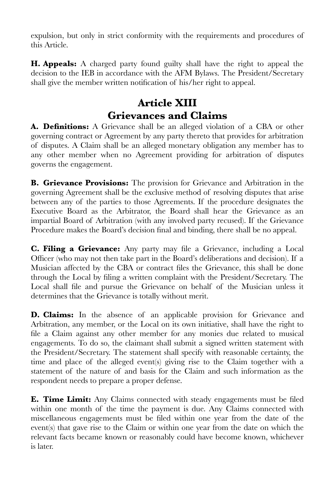expulsion, but only in strict conformity with the requirements and procedures of this Article.

**H. Appeals:** A charged party found guilty shall have the right to appeal the decision to the IEB in accordance with the AFM Bylaws. The President/Secretary shall give the member written notification of his/her right to appeal.

## **Article XIII Grievances and Claims**

**A. Definitions:** A Grievance shall be an alleged violation of a CBA or other governing contract or Agreement by any party thereto that provides for arbitration of disputes. A Claim shall be an alleged monetary obligation any member has to any other member when no Agreement providing for arbitration of disputes governs the engagement.

**B. Grievance Provisions:** The provision for Grievance and Arbitration in the governing Agreement shall be the exclusive method of resolving disputes that arise between any of the parties to those Agreements. If the procedure designates the Executive Board as the Arbitrator, the Board shall hear the Grievance as an impartial Board of Arbitration (with any involved party recused). If the Grievance Procedure makes the Board's decision final and binding, there shall be no appeal.

**C. Filing a Grievance:** Any party may file a Grievance, including a Local Officer (who may not then take part in the Board's deliberations and decision). If a Musician affected by the CBA or contract files the Grievance, this shall be done through the Local by filing a written complaint with the President/Secretary. The Local shall file and pursue the Grievance on behalf of the Musician unless it determines that the Grievance is totally without merit.

**D. Claims:** In the absence of an applicable provision for Grievance and Arbitration, any member, or the Local on its own initiative, shall have the right to file a Claim against any other member for any monies due related to musical engagements. To do so, the claimant shall submit a signed written statement with the President/Secretary. The statement shall specify with reasonable certainty, the time and place of the alleged event(s) giving rise to the Claim together with a statement of the nature of and basis for the Claim and such information as the respondent needs to prepare a proper defense.

**E. Time Limit:** Any Claims connected with steady engagements must be filed within one month of the time the payment is due. Any Claims connected with miscellaneous engagements must be filed within one year from the date of the event(s) that gave rise to the Claim or within one year from the date on which the relevant facts became known or reasonably could have become known, whichever is later.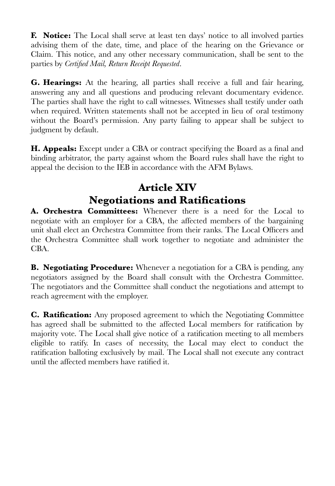**F. Notice:** The Local shall serve at least ten days' notice to all involved parties advising them of the date, time, and place of the hearing on the Grievance or Claim. This notice, and any other necessary communication, shall be sent to the parties by *Certified Mail, Return Receipt Requested*.

**G. Hearings:** At the hearing, all parties shall receive a full and fair hearing, answering any and all questions and producing relevant documentary evidence. The parties shall have the right to call witnesses. Witnesses shall testify under oath when required. Written statements shall not be accepted in lieu of oral testimony without the Board's permission. Any party failing to appear shall be subject to judgment by default.

**H. Appeals:** Except under a CBA or contract specifying the Board as a final and binding arbitrator, the party against whom the Board rules shall have the right to appeal the decision to the IEB in accordance with the AFM Bylaws.

# **Article XIV Negotiations and Ratifications**

**A. Orchestra Committees:** Whenever there is a need for the Local to negotiate with an employer for a CBA, the affected members of the bargaining unit shall elect an Orchestra Committee from their ranks. The Local Officers and the Orchestra Committee shall work together to negotiate and administer the CBA.

**B. Negotiating Procedure:** Whenever a negotiation for a CBA is pending, any negotiators assigned by the Board shall consult with the Orchestra Committee. The negotiators and the Committee shall conduct the negotiations and attempt to reach agreement with the employer.

**C. Ratification:** Any proposed agreement to which the Negotiating Committee has agreed shall be submitted to the affected Local members for ratification by majority vote. The Local shall give notice of a ratification meeting to all members eligible to ratify. In cases of necessity, the Local may elect to conduct the ratification balloting exclusively by mail. The Local shall not execute any contract until the affected members have ratified it.